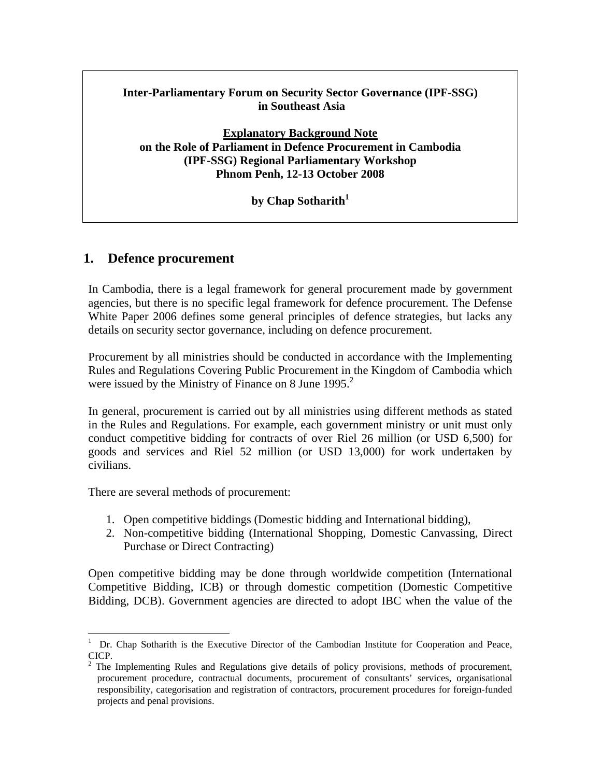### **Inter-Parliamentary Forum on Security Sector Governance (IPF-SSG) in Southeast Asia**

**Explanatory Background Note on the Role of Parliament in Defence Procurement in Cambodia (IPF-SSG) Regional Parliamentary Workshop Phnom Penh, 12-13 October 2008** 

#### by Chap Sotharith<sup>1</sup>

## **1. Defence procurement**

In Cambodia, there is a legal framework for general procurement made by government agencies, but there is no specific legal framework for defence procurement. The Defense White Paper 2006 defines some general principles of defence strategies, but lacks any details on security sector governance, including on defence procurement.

Procurement by all ministries should be conducted in accordance with the Implementing Rules and Regulations Covering Public Procurement in the Kingdom of Cambodia which were issued by the Ministry of Finance on 8 June 1995.<sup>2</sup>

In general, procurement is carried out by all ministries using different methods as stated in the Rules and Regulations. For example, each government ministry or unit must only conduct competitive bidding for contracts of over Riel 26 million (or USD 6,500) for goods and services and Riel 52 million (or USD 13,000) for work undertaken by civilians.

There are several methods of procurement:

- 1. Open competitive biddings (Domestic bidding and International bidding),
- 2. Non-competitive bidding (International Shopping, Domestic Canvassing, Direct Purchase or Direct Contracting)

Open competitive bidding may be done through worldwide competition (International Competitive Bidding, ICB) or through domestic competition (Domestic Competitive Bidding, DCB). Government agencies are directed to adopt IBC when the value of the

<sup>&</sup>lt;sup>1</sup> Dr. Chap Sotharith is the Executive Director of the Cambodian Institute for Cooperation and Peace, CICP.

<sup>2</sup> The Implementing Rules and Regulations give details of policy provisions, methods of procurement, procurement procedure, contractual documents, procurement of consultants' services, organisational responsibility, categorisation and registration of contractors, procurement procedures for foreign-funded projects and penal provisions.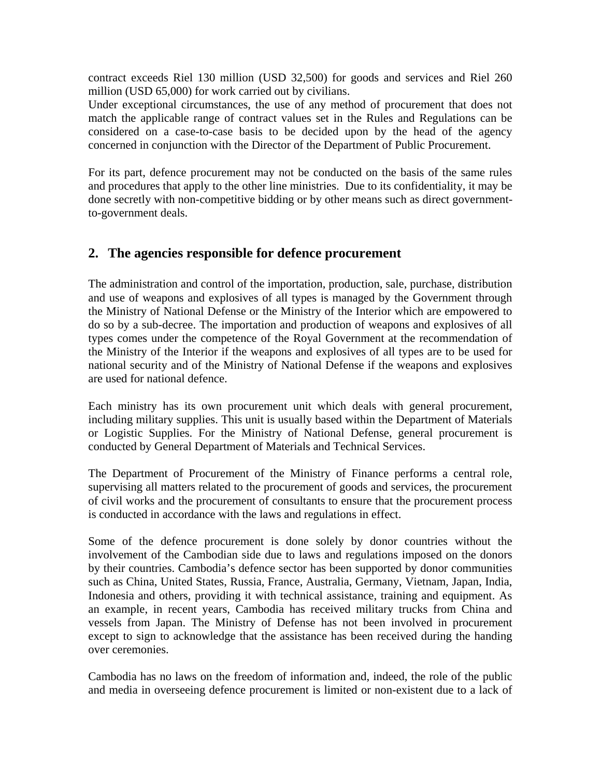contract exceeds Riel 130 million (USD 32,500) for goods and services and Riel 260 million (USD 65,000) for work carried out by civilians.

Under exceptional circumstances, the use of any method of procurement that does not match the applicable range of contract values set in the Rules and Regulations can be considered on a case-to-case basis to be decided upon by the head of the agency concerned in conjunction with the Director of the Department of Public Procurement.

For its part, defence procurement may not be conducted on the basis of the same rules and procedures that apply to the other line ministries. Due to its confidentiality, it may be done secretly with non-competitive bidding or by other means such as direct governmentto-government deals.

# **2. The agencies responsible for defence procurement**

The administration and control of the importation, production, sale, purchase, distribution and use of weapons and explosives of all types is managed by the Government through the Ministry of National Defense or the Ministry of the Interior which are empowered to do so by a sub-decree. The importation and production of weapons and explosives of all types comes under the competence of the Royal Government at the recommendation of the Ministry of the Interior if the weapons and explosives of all types are to be used for national security and of the Ministry of National Defense if the weapons and explosives are used for national defence.

Each ministry has its own procurement unit which deals with general procurement, including military supplies. This unit is usually based within the Department of Materials or Logistic Supplies. For the Ministry of National Defense, general procurement is conducted by General Department of Materials and Technical Services.

The Department of Procurement of the Ministry of Finance performs a central role, supervising all matters related to the procurement of goods and services, the procurement of civil works and the procurement of consultants to ensure that the procurement process is conducted in accordance with the laws and regulations in effect.

Some of the defence procurement is done solely by donor countries without the involvement of the Cambodian side due to laws and regulations imposed on the donors by their countries. Cambodia's defence sector has been supported by donor communities such as China, United States, Russia, France, Australia, Germany, Vietnam, Japan, India, Indonesia and others, providing it with technical assistance, training and equipment. As an example, in recent years, Cambodia has received military trucks from China and vessels from Japan. The Ministry of Defense has not been involved in procurement except to sign to acknowledge that the assistance has been received during the handing over ceremonies.

Cambodia has no laws on the freedom of information and, indeed, the role of the public and media in overseeing defence procurement is limited or non-existent due to a lack of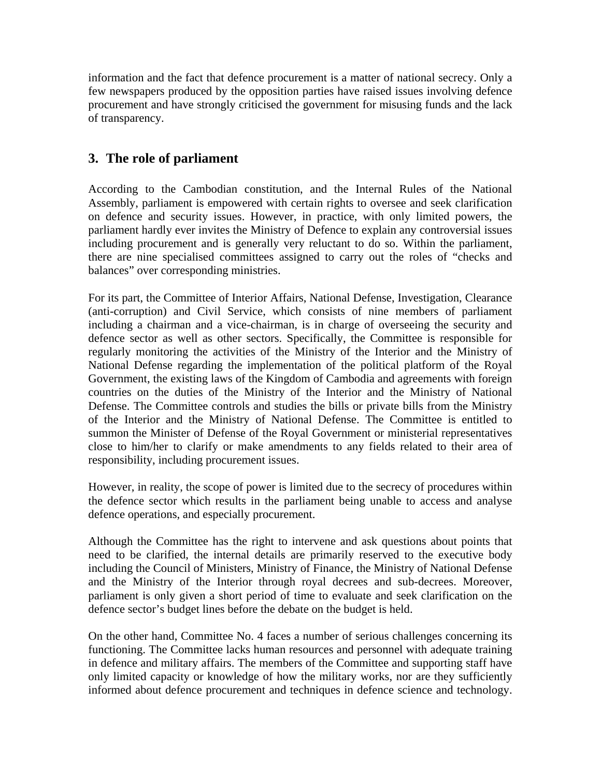information and the fact that defence procurement is a matter of national secrecy. Only a few newspapers produced by the opposition parties have raised issues involving defence procurement and have strongly criticised the government for misusing funds and the lack of transparency.

# **3. The role of parliament**

According to the Cambodian constitution, and the Internal Rules of the National Assembly, parliament is empowered with certain rights to oversee and seek clarification on defence and security issues. However, in practice, with only limited powers, the parliament hardly ever invites the Ministry of Defence to explain any controversial issues including procurement and is generally very reluctant to do so. Within the parliament, there are nine specialised committees assigned to carry out the roles of "checks and balances" over corresponding ministries.

For its part, the Committee of Interior Affairs, National Defense, Investigation, Clearance (anti-corruption) and Civil Service, which consists of nine members of parliament including a chairman and a vice-chairman, is in charge of overseeing the security and defence sector as well as other sectors. Specifically, the Committee is responsible for regularly monitoring the activities of the Ministry of the Interior and the Ministry of National Defense regarding the implementation of the political platform of the Royal Government, the existing laws of the Kingdom of Cambodia and agreements with foreign countries on the duties of the Ministry of the Interior and the Ministry of National Defense. The Committee controls and studies the bills or private bills from the Ministry of the Interior and the Ministry of National Defense. The Committee is entitled to summon the Minister of Defense of the Royal Government or ministerial representatives close to him/her to clarify or make amendments to any fields related to their area of responsibility, including procurement issues.

However, in reality, the scope of power is limited due to the secrecy of procedures within the defence sector which results in the parliament being unable to access and analyse defence operations, and especially procurement.

Although the Committee has the right to intervene and ask questions about points that need to be clarified, the internal details are primarily reserved to the executive body including the Council of Ministers, Ministry of Finance, the Ministry of National Defense and the Ministry of the Interior through royal decrees and sub-decrees. Moreover, parliament is only given a short period of time to evaluate and seek clarification on the defence sector's budget lines before the debate on the budget is held.

On the other hand, Committee No. 4 faces a number of serious challenges concerning its functioning. The Committee lacks human resources and personnel with adequate training in defence and military affairs. The members of the Committee and supporting staff have only limited capacity or knowledge of how the military works, nor are they sufficiently informed about defence procurement and techniques in defence science and technology.